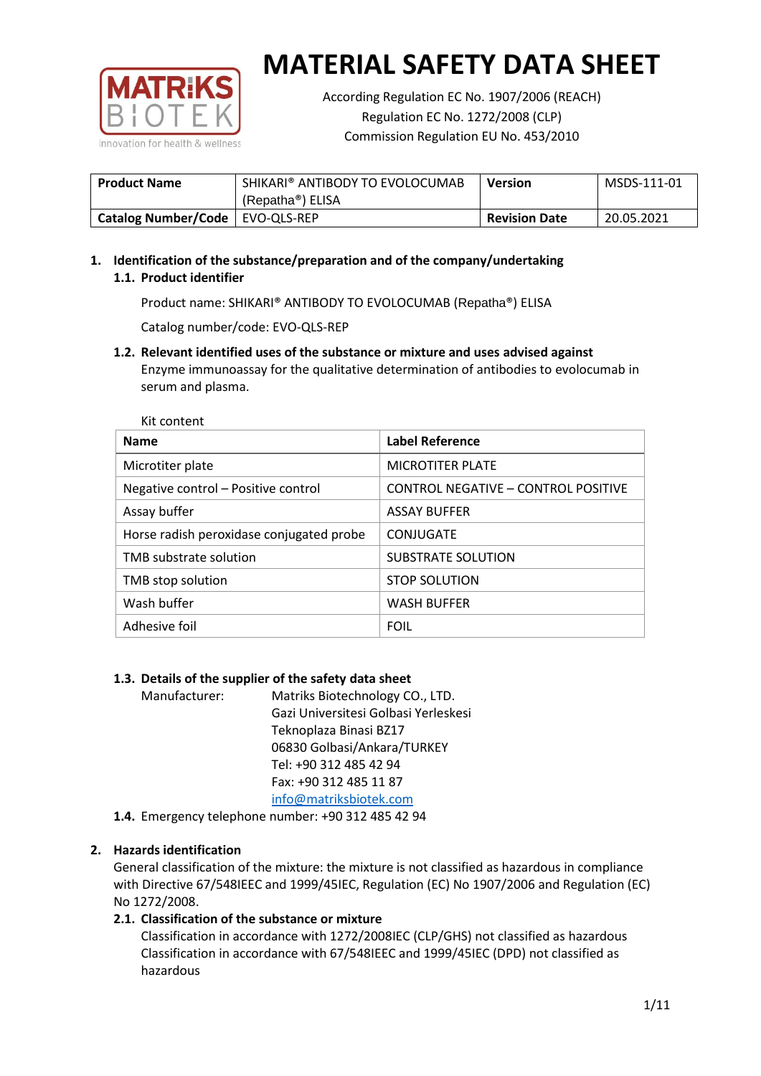

According Regulation EC No. 1907/2006 (REACH) Regulation EC No. 1272/2008 (CLP) Commission Regulation EU No. 453/2010

| <b>Product Name</b>               | SHIKARI® ANTIBODY TO EVOLOCUMAB | <b>Version</b>       | MSDS-111-01 |
|-----------------------------------|---------------------------------|----------------------|-------------|
|                                   | (Repatha®) ELISA                |                      |             |
| Catalog Number/Code   EVO-QLS-REP |                                 | <b>Revision Date</b> | 20.05.2021  |

# **1. Identification of the substance/preparation and of the company/undertaking 1.1. Product identifier**

Product name: SHIKARI® ANTIBODY TO EVOLOCUMAB (Repatha®) ELISA

Catalog number/code: EVO-QLS-REP

**1.2. Relevant identified uses of the substance or mixture and uses advised against** Enzyme immunoassay for the qualitative determination of antibodies to evolocumab in serum and plasma.

| Kit content                              |                                     |
|------------------------------------------|-------------------------------------|
| <b>Name</b>                              | <b>Label Reference</b>              |
| Microtiter plate                         | <b>MICROTITER PLATE</b>             |
| Negative control - Positive control      | CONTROL NEGATIVE - CONTROL POSITIVE |
| Assay buffer                             | <b>ASSAY BUFFER</b>                 |
| Horse radish peroxidase conjugated probe | CONJUGATE                           |
| TMB substrate solution                   | SUBSTRATE SOLUTION                  |
| TMB stop solution                        | <b>STOP SOLUTION</b>                |
| Wash buffer                              | <b>WASH BUFFER</b>                  |
| Adhesive foil                            | <b>FOIL</b>                         |

## **1.3. Details of the supplier of the safety data sheet**

Manufacturer: Matriks Biotechnology CO., LTD. Gazi Universitesi Golbasi Yerleskesi Teknoplaza Binasi BZ17 06830 Golbasi/Ankara/TURKEY Tel: +90 312 485 42 94 Fax: +90 312 485 11 87 [info@matriksbiotek.com](mailto:info@matriksbiotek.com)

**1.4.** Emergency telephone number: +90 312 485 42 94

## **2. Hazards identification**

General classification of the mixture: the mixture is not classified as hazardous in compliance with Directive 67/548IEEC and 1999/45IEC, Regulation (EC) No 1907/2006 and Regulation (EC) No 1272/2008.

## **2.1. Classification of the substance or mixture**

Classification in accordance with 1272/2008IEC (CLP/GHS) not classified as hazardous Classification in accordance with 67/548IEEC and 1999/45IEC (DPD) not classified as hazardous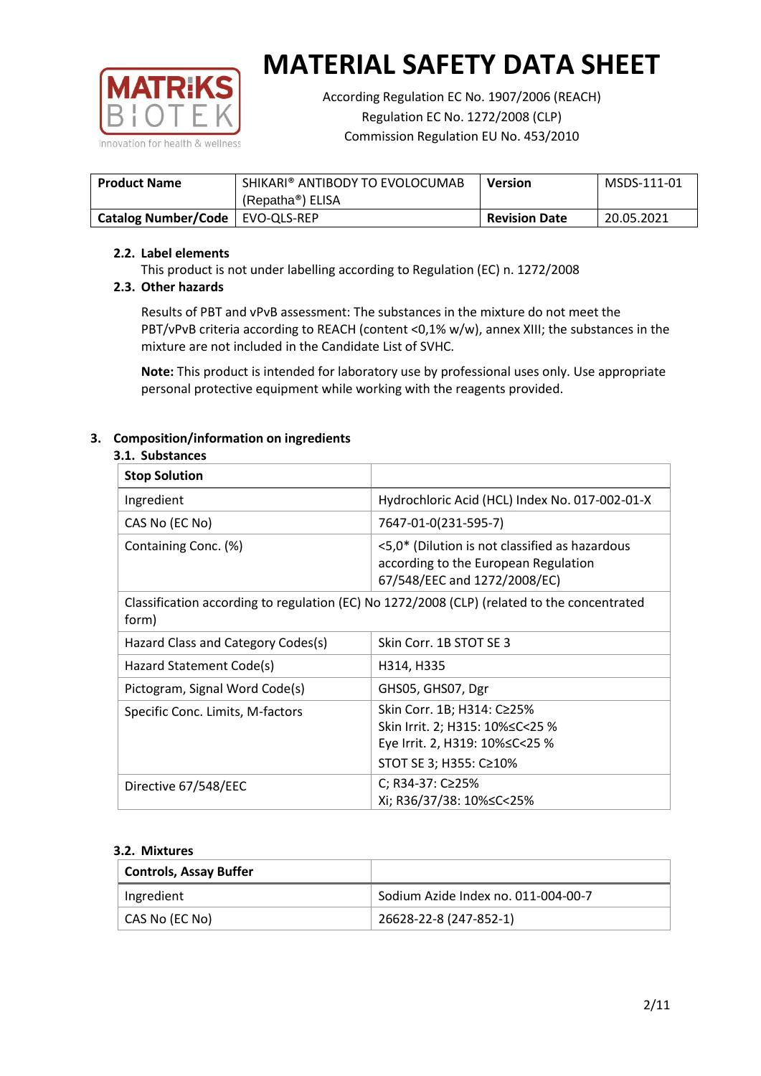

According Regulation EC No. 1907/2006 (REACH) Regulation EC No. 1272/2008 (CLP) Commission Regulation EU No. 453/2010

| <b>Product Name</b>               | SHIKARI® ANTIBODY TO EVOLOCUMAB | <b>Version</b>       | MSDS-111-01 |
|-----------------------------------|---------------------------------|----------------------|-------------|
|                                   | (Repatha®) ELISA                |                      |             |
| Catalog Number/Code   EVO-QLS-REP |                                 | <b>Revision Date</b> | 20.05.2021  |

## **2.2. Label elements**

This product is not under labelling according to Regulation (EC) n. 1272/2008

## **2.3. Other hazards**

Results of PBT and vPvB assessment: The substances in the mixture do not meet the PBT/vPvB criteria according to REACH (content <0,1% w/w), annex XIII; the substances in the mixture are not included in the Candidate List of SVHC.

**Note:** This product is intended for laboratory use by professional uses only. Use appropriate personal protective equipment while working with the reagents provided.

## **3. Composition/information on ingredients**

#### **3.1. Substances**

| <b>Stop Solution</b>                                                                                 |                                                                                                                               |
|------------------------------------------------------------------------------------------------------|-------------------------------------------------------------------------------------------------------------------------------|
| Ingredient                                                                                           | Hydrochloric Acid (HCL) Index No. 017-002-01-X                                                                                |
| CAS No (EC No)                                                                                       | 7647-01-0(231-595-7)                                                                                                          |
| Containing Conc. (%)                                                                                 | <5,0* (Dilution is not classified as hazardous<br>according to the European Regulation<br>67/548/EEC and 1272/2008/EC)        |
| Classification according to regulation (EC) No 1272/2008 (CLP) (related to the concentrated<br>form) |                                                                                                                               |
| Hazard Class and Category Codes(s)                                                                   | Skin Corr. 1B STOT SE 3                                                                                                       |
| Hazard Statement Code(s)                                                                             | H314, H335                                                                                                                    |
| Pictogram, Signal Word Code(s)                                                                       | GHS05, GHS07, Dgr                                                                                                             |
| Specific Conc. Limits, M-factors                                                                     | Skin Corr. 1B; H314: C≥25%<br>Skin Irrit. 2; H315: 10% ≤ C < 25 %<br>Eye Irrit. 2, H319: 10%≤C<25 %<br>STOT SE 3; H355: C≥10% |
| Directive 67/548/EEC                                                                                 | C; R34-37: C≥25%<br>Xi; R36/37/38: 10%≤C<25%                                                                                  |

#### **3.2. Mixtures**

| <b>Controls, Assay Buffer</b> |                                     |
|-------------------------------|-------------------------------------|
| Ingredient                    | Sodium Azide Index no. 011-004-00-7 |
| CAS No (EC No)                | 26628-22-8 (247-852-1)              |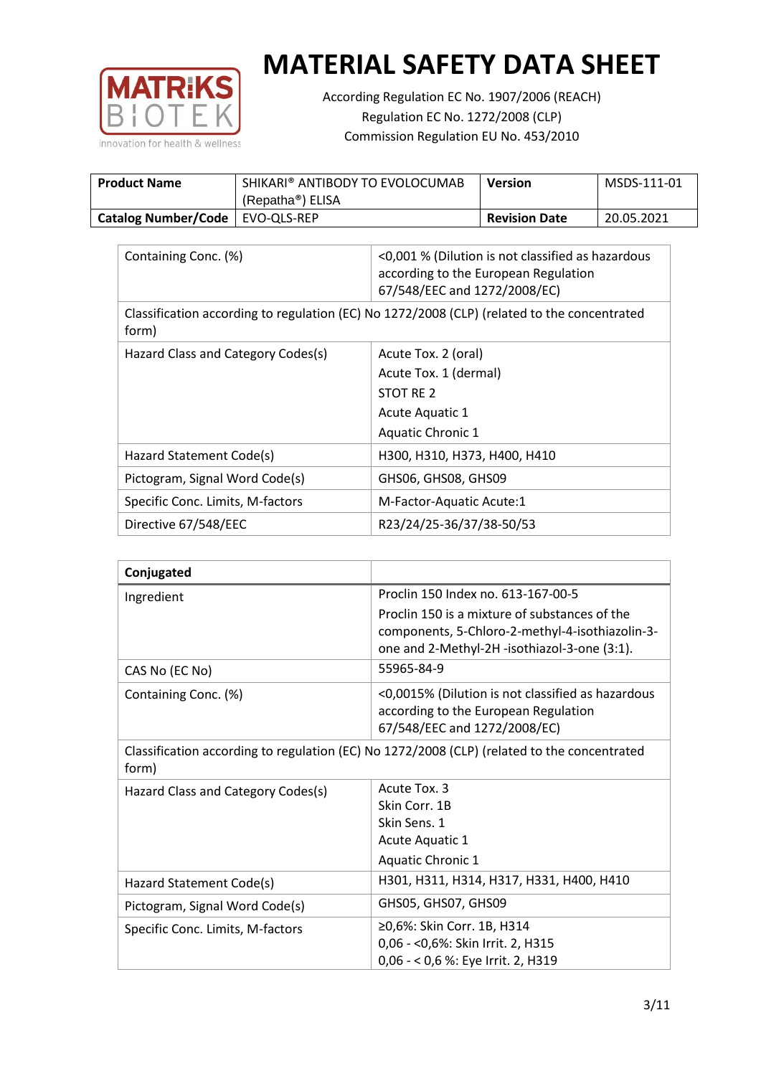

According Regulation EC No. 1907/2006 (REACH) Regulation EC No. 1272/2008 (CLP) Commission Regulation EU No. 453/2010

| <b>Product Name</b>               | SHIKARI® ANTIBODY TO EVOLOCUMAB | <b>Version</b>       | MSDS-111-01 |
|-----------------------------------|---------------------------------|----------------------|-------------|
|                                   | (Repatha <sup>®</sup> ) ELISA   |                      |             |
| Catalog Number/Code   EVO-QLS-REP |                                 | <b>Revision Date</b> | 20.05.2021  |

| Containing Conc. (%)                                                                                 | <0,001 % (Dilution is not classified as hazardous<br>according to the European Regulation<br>67/548/EEC and 1272/2008/EC) |  |
|------------------------------------------------------------------------------------------------------|---------------------------------------------------------------------------------------------------------------------------|--|
| Classification according to regulation (EC) No 1272/2008 (CLP) (related to the concentrated<br>form) |                                                                                                                           |  |
| Hazard Class and Category Codes(s)                                                                   | Acute Tox. 2 (oral)                                                                                                       |  |
|                                                                                                      | Acute Tox. 1 (dermal)                                                                                                     |  |
|                                                                                                      | STOT RE 2                                                                                                                 |  |
|                                                                                                      | Acute Aquatic 1                                                                                                           |  |
|                                                                                                      | <b>Aquatic Chronic 1</b>                                                                                                  |  |
| Hazard Statement Code(s)                                                                             | H300, H310, H373, H400, H410                                                                                              |  |
| Pictogram, Signal Word Code(s)                                                                       | GHS06, GHS08, GHS09                                                                                                       |  |
| Specific Conc. Limits, M-factors                                                                     | M-Factor-Aquatic Acute:1                                                                                                  |  |
| Directive 67/548/EEC                                                                                 | R23/24/25-36/37/38-50/53                                                                                                  |  |

| Conjugated                         |                                                                                                                                                  |
|------------------------------------|--------------------------------------------------------------------------------------------------------------------------------------------------|
| Ingredient                         | Proclin 150 Index no. 613-167-00-5                                                                                                               |
|                                    | Proclin 150 is a mixture of substances of the<br>components, 5-Chloro-2-methyl-4-isothiazolin-3-<br>one and 2-Methyl-2H -isothiazol-3-one (3:1). |
| CAS No (EC No)                     | 55965-84-9                                                                                                                                       |
| Containing Conc. (%)               | <0,0015% (Dilution is not classified as hazardous<br>according to the European Regulation<br>67/548/EEC and 1272/2008/EC)                        |
| form)                              | Classification according to regulation (EC) No 1272/2008 (CLP) (related to the concentrated                                                      |
| Hazard Class and Category Codes(s) | Acute Tox. 3                                                                                                                                     |
|                                    | Skin Corr. 1B                                                                                                                                    |
|                                    | Skin Sens. 1                                                                                                                                     |
|                                    | <b>Acute Aquatic 1</b>                                                                                                                           |
|                                    | Aquatic Chronic 1                                                                                                                                |
| Hazard Statement Code(s)           | H301, H311, H314, H317, H331, H400, H410                                                                                                         |
| Pictogram, Signal Word Code(s)     | GHS05, GHS07, GHS09                                                                                                                              |
| Specific Conc. Limits, M-factors   | ≥0,6%: Skin Corr. 1B, H314<br>0,06 - < 0,6%: Skin Irrit. 2, H315                                                                                 |
|                                    | 0,06 - < 0,6 %: Eye Irrit. 2, H319                                                                                                               |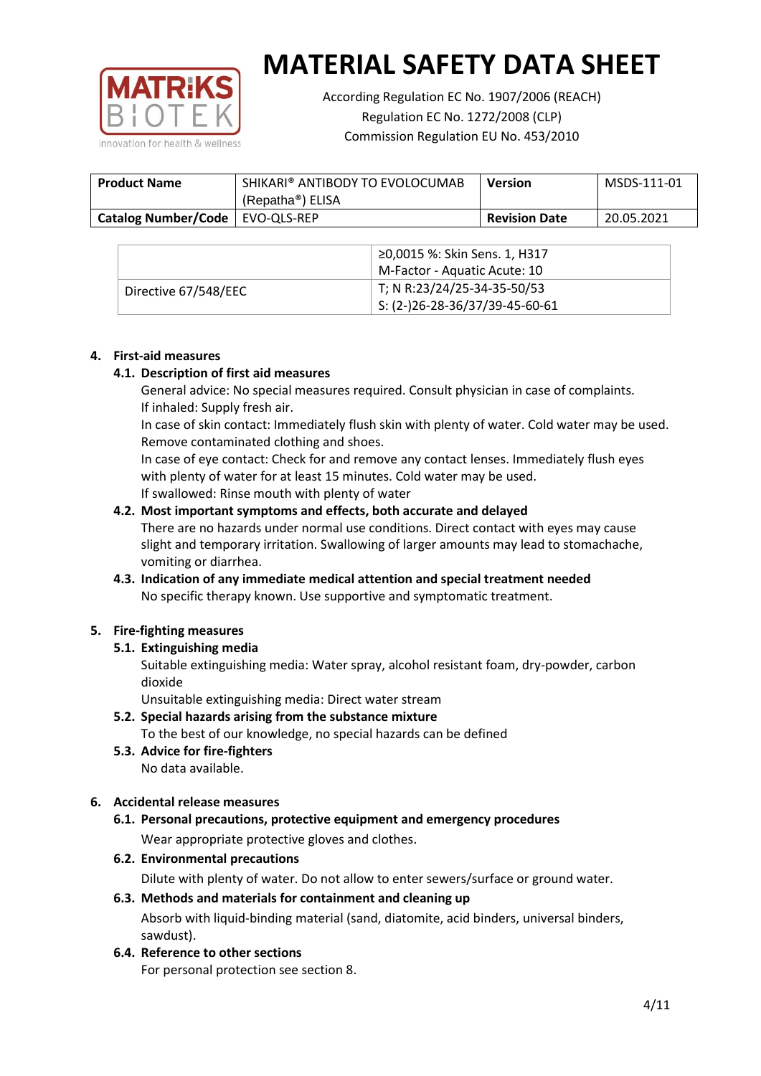

According Regulation EC No. 1907/2006 (REACH) Regulation EC No. 1272/2008 (CLP) Commission Regulation EU No. 453/2010

| <b>Product Name</b>               | SHIKARI® ANTIBODY TO EVOLOCUMAB<br>(Repatha <sup>®</sup> ) ELISA | <b>Version</b>       | MSDS-111-01 |
|-----------------------------------|------------------------------------------------------------------|----------------------|-------------|
| Catalog Number/Code   EVO-QLS-REP |                                                                  | <b>Revision Date</b> | 20.05.2021  |

|                      | ≥0,0015 %: Skin Sens. 1, H317    |
|----------------------|----------------------------------|
|                      | M-Factor - Aquatic Acute: 10     |
| Directive 67/548/EEC | T; N R:23/24/25-34-35-50/53      |
|                      | $5: (2-)26-28-36/37/39-45-60-61$ |

## **4. First-aid measures**

## **4.1. Description of first aid measures**

General advice: No special measures required. Consult physician in case of complaints. If inhaled: Supply fresh air.

In case of skin contact: Immediately flush skin with plenty of water. Cold water may be used. Remove contaminated clothing and shoes.

In case of eye contact: Check for and remove any contact lenses. Immediately flush eyes with plenty of water for at least 15 minutes. Cold water may be used. If swallowed: Rinse mouth with plenty of water

## **4.2. Most important symptoms and effects, both accurate and delayed**

There are no hazards under normal use conditions. Direct contact with eyes may cause slight and temporary irritation. Swallowing of larger amounts may lead to stomachache, vomiting or diarrhea.

## **4.3. Indication of any immediate medical attention and special treatment needed** No specific therapy known. Use supportive and symptomatic treatment.

## **5. Fire-fighting measures**

## **5.1. Extinguishing media**

Suitable extinguishing media: Water spray, alcohol resistant foam, dry-powder, carbon dioxide

Unsuitable extinguishing media: Direct water stream

- **5.2. Special hazards arising from the substance mixture** To the best of our knowledge, no special hazards can be defined
- **5.3. Advice for fire-fighters** No data available.

## **6. Accidental release measures**

- **6.1. Personal precautions, protective equipment and emergency procedures** Wear appropriate protective gloves and clothes.
- **6.2. Environmental precautions**

Dilute with plenty of water. Do not allow to enter sewers/surface or ground water.

#### **6.3. Methods and materials for containment and cleaning up**

Absorb with liquid-binding material (sand, diatomite, acid binders, universal binders, sawdust).

**6.4. Reference to other sections**

For personal protection see section 8.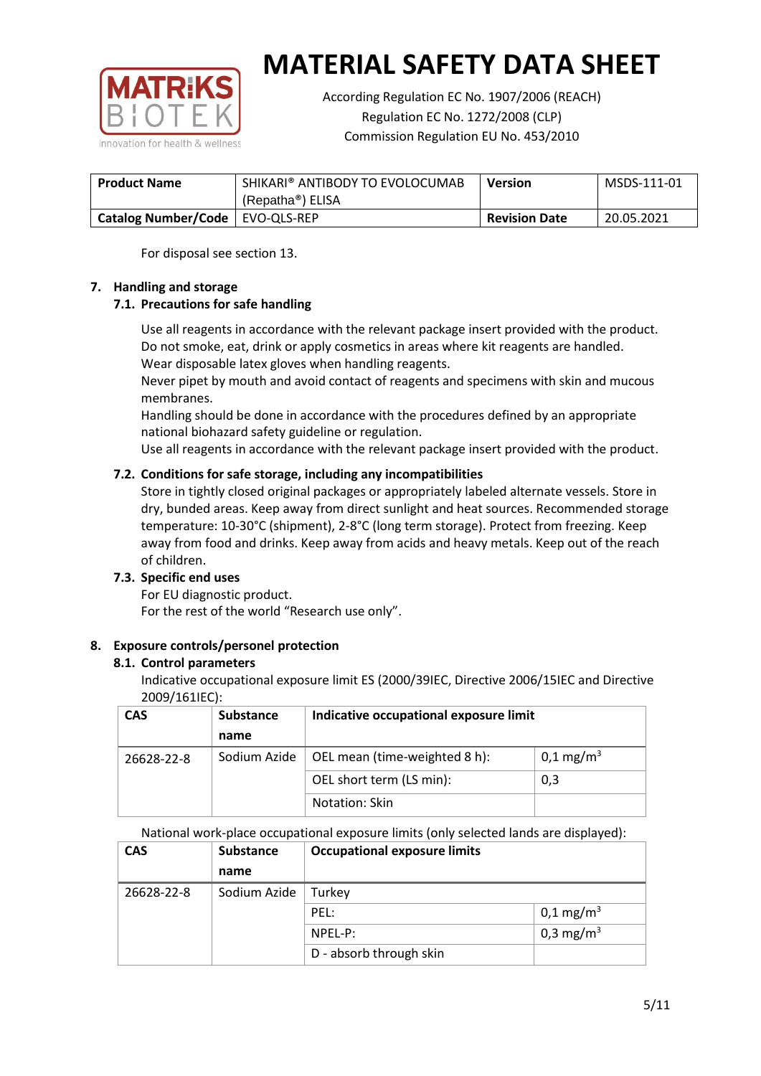

According Regulation EC No. 1907/2006 (REACH) Regulation EC No. 1272/2008 (CLP) Commission Regulation EU No. 453/2010

| <b>Product Name</b>               | SHIKARI® ANTIBODY TO EVOLOCUMAB | <b>Version</b>       | MSDS-111-01 |
|-----------------------------------|---------------------------------|----------------------|-------------|
|                                   | (Repatha <sup>®</sup> ) ELISA   |                      |             |
| Catalog Number/Code   EVO-QLS-REP |                                 | <b>Revision Date</b> | 20.05.2021  |

For disposal see section 13.

## **7. Handling and storage**

## **7.1. Precautions for safe handling**

Use all reagents in accordance with the relevant package insert provided with the product. Do not smoke, eat, drink or apply cosmetics in areas where kit reagents are handled. Wear disposable latex gloves when handling reagents.

Never pipet by mouth and avoid contact of reagents and specimens with skin and mucous membranes.

Handling should be done in accordance with the procedures defined by an appropriate national biohazard safety guideline or regulation.

Use all reagents in accordance with the relevant package insert provided with the product.

## **7.2. Conditions for safe storage, including any incompatibilities**

Store in tightly closed original packages or appropriately labeled alternate vessels. Store in dry, bunded areas. Keep away from direct sunlight and heat sources. Recommended storage temperature: 10-30°C (shipment), 2-8°C (long term storage). Protect from freezing. Keep away from food and drinks. Keep away from acids and heavy metals. Keep out of the reach of children.

## **7.3. Specific end uses**

For EU diagnostic product. For the rest of the world "Research use only".

## **8. Exposure controls/personel protection**

#### **8.1. Control parameters**

Indicative occupational exposure limit ES (2000/39IEC, Directive 2006/15IEC and Directive 2009/161IEC):

| <b>CAS</b> | <b>Substance</b> | Indicative occupational exposure limit |                         |
|------------|------------------|----------------------------------------|-------------------------|
|            | name             |                                        |                         |
| 26628-22-8 | Sodium Azide     | OEL mean (time-weighted 8 h):          | $0,1 \,\mathrm{mg/m^3}$ |
|            |                  | OEL short term (LS min):               | 0,3                     |
|            |                  | Notation: Skin                         |                         |

National work-place occupational exposure limits (only selected lands are displayed):

| <b>CAS</b> | <b>Substance</b> | <b>Occupational exposure limits</b> |                         |
|------------|------------------|-------------------------------------|-------------------------|
|            | name             |                                     |                         |
| 26628-22-8 | Sodium Azide     | Turkey                              |                         |
|            |                  | PEL:                                | $0,1 \,\mathrm{mg/m^3}$ |
|            |                  | NPEL-P:                             | 0,3 mg/m <sup>3</sup>   |
|            |                  | D - absorb through skin             |                         |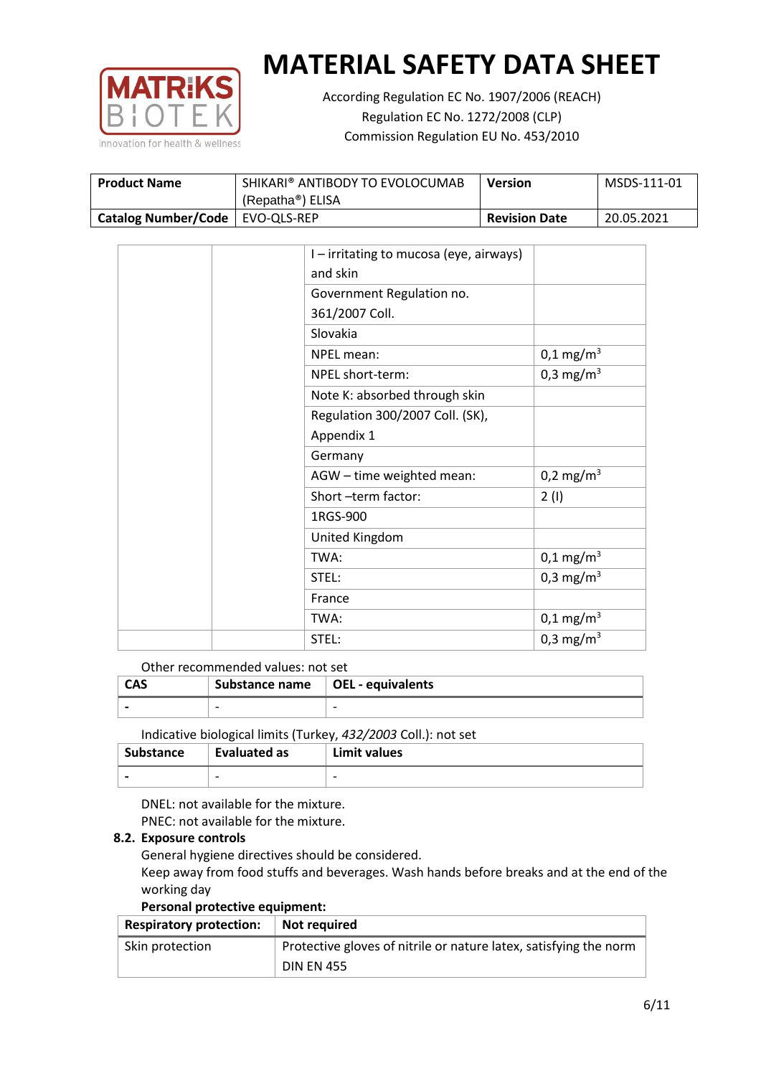

According Regulation EC No. 1907/2006 (REACH) Regulation EC No. 1272/2008 (CLP) Commission Regulation EU No. 453/2010

| <b>Product Name</b>               | SHIKARI® ANTIBODY TO EVOLOCUMAB | <b>Version</b>       | MSDS-111-01 |
|-----------------------------------|---------------------------------|----------------------|-------------|
|                                   | (Repatha <sup>®</sup> ) ELISA   |                      |             |
| Catalog Number/Code   EVO-QLS-REP |                                 | <b>Revision Date</b> | 20.05.2021  |

| I - irritating to mucosa (eye, airways) |                       |
|-----------------------------------------|-----------------------|
| and skin                                |                       |
| Government Regulation no.               |                       |
| 361/2007 Coll.                          |                       |
| Slovakia                                |                       |
| NPEL mean:                              | $0,1 \text{ mg/m}^3$  |
| NPEL short-term:                        | 0,3 mg/m <sup>3</sup> |
| Note K: absorbed through skin           |                       |
| Regulation 300/2007 Coll. (SK),         |                       |
| Appendix 1                              |                       |
| Germany                                 |                       |
| AGW - time weighted mean:               | 0,2 mg/m <sup>3</sup> |
| Short-term factor:                      | 2(1)                  |
| 1RGS-900                                |                       |
| United Kingdom                          |                       |
| TWA:                                    | $0,1 \text{ mg/m}^3$  |
| STEL:                                   | 0,3 mg/m <sup>3</sup> |
| France                                  |                       |
| TWA:                                    | $0,1 \text{ mg/m}^3$  |
| STEL:                                   | 0,3 mg/m <sup>3</sup> |
|                                         |                       |

Other recommended values: not set

| <b>CAS</b> | Substance name $\vert$ OEL - equivalents |   |
|------------|------------------------------------------|---|
|            | $\overline{\phantom{0}}$                 | - |
|            |                                          |   |

Indicative biological limits (Turkey, *432/2003* Coll.): not set

| <b>Substance</b> | Evaluated as             | Limit values             |
|------------------|--------------------------|--------------------------|
|                  | $\overline{\phantom{0}}$ | $\overline{\phantom{0}}$ |

DNEL: not available for the mixture. PNEC: not available for the mixture.

## **8.2. Exposure controls**

General hygiene directives should be considered.

Keep away from food stuffs and beverages. Wash hands before breaks and at the end of the working day

#### **Personal protective equipment:**

| <b>Respiratory protection:</b> | Not required                                                      |
|--------------------------------|-------------------------------------------------------------------|
| Skin protection                | Protective gloves of nitrile or nature latex, satisfying the norm |
|                                | <b>DIN EN 455</b>                                                 |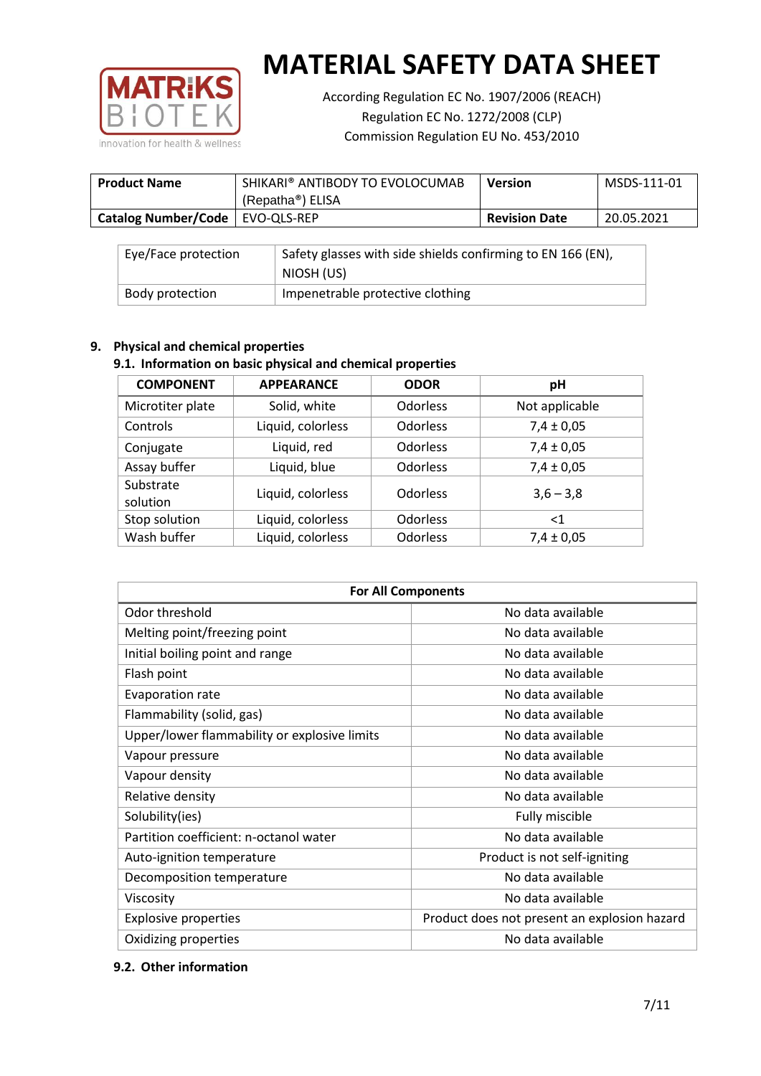

According Regulation EC No. 1907/2006 (REACH) Regulation EC No. 1272/2008 (CLP) Commission Regulation EU No. 453/2010

| <b>Product Name</b>               | SHIKARI® ANTIBODY TO EVOLOCUMAB<br><b>Version</b> |                      | MSDS-111-01 |
|-----------------------------------|---------------------------------------------------|----------------------|-------------|
|                                   | (Repatha®) ELISA                                  |                      |             |
| Catalog Number/Code   EVO-QLS-REP |                                                   | <b>Revision Date</b> | 20.05.2021  |

| Eye/Face protection | Safety glasses with side shields confirming to EN 166 (EN),<br>NIOSH (US) |
|---------------------|---------------------------------------------------------------------------|
| Body protection     | Impenetrable protective clothing                                          |

## **9. Physical and chemical properties**

## **9.1. Information on basic physical and chemical properties**

| <b>COMPONENT</b>      | <b>APPEARANCE</b> | <b>ODOR</b>     | pH             |
|-----------------------|-------------------|-----------------|----------------|
| Microtiter plate      | Solid, white      | <b>Odorless</b> | Not applicable |
| Controls              | Liquid, colorless | Odorless        | $7,4 \pm 0,05$ |
| Conjugate             | Liquid, red       | Odorless        | $7,4 \pm 0,05$ |
| Assay buffer          | Liquid, blue      | <b>Odorless</b> | $7,4 \pm 0,05$ |
| Substrate<br>solution | Liquid, colorless | Odorless        | $3,6 - 3,8$    |
| Stop solution         | Liquid, colorless | <b>Odorless</b> | $<$ 1          |
| Wash buffer           | Liquid, colorless | Odorless        | $7,4 \pm 0,05$ |

| <b>For All Components</b>                    |                                              |  |  |
|----------------------------------------------|----------------------------------------------|--|--|
| Odor threshold                               | No data available                            |  |  |
| Melting point/freezing point                 | No data available                            |  |  |
| Initial boiling point and range              | No data available                            |  |  |
| Flash point                                  | No data available                            |  |  |
| Evaporation rate                             | No data available                            |  |  |
| Flammability (solid, gas)                    | No data available                            |  |  |
| Upper/lower flammability or explosive limits | No data available                            |  |  |
| Vapour pressure                              | No data available                            |  |  |
| Vapour density                               | No data available                            |  |  |
| Relative density                             | No data available                            |  |  |
| Solubility(ies)                              | Fully miscible                               |  |  |
| Partition coefficient: n-octanol water       | No data available                            |  |  |
| Auto-ignition temperature                    | Product is not self-igniting                 |  |  |
| Decomposition temperature                    | No data available                            |  |  |
| Viscosity                                    | No data available                            |  |  |
| <b>Explosive properties</b>                  | Product does not present an explosion hazard |  |  |
| Oxidizing properties                         | No data available                            |  |  |

## **9.2. Other information**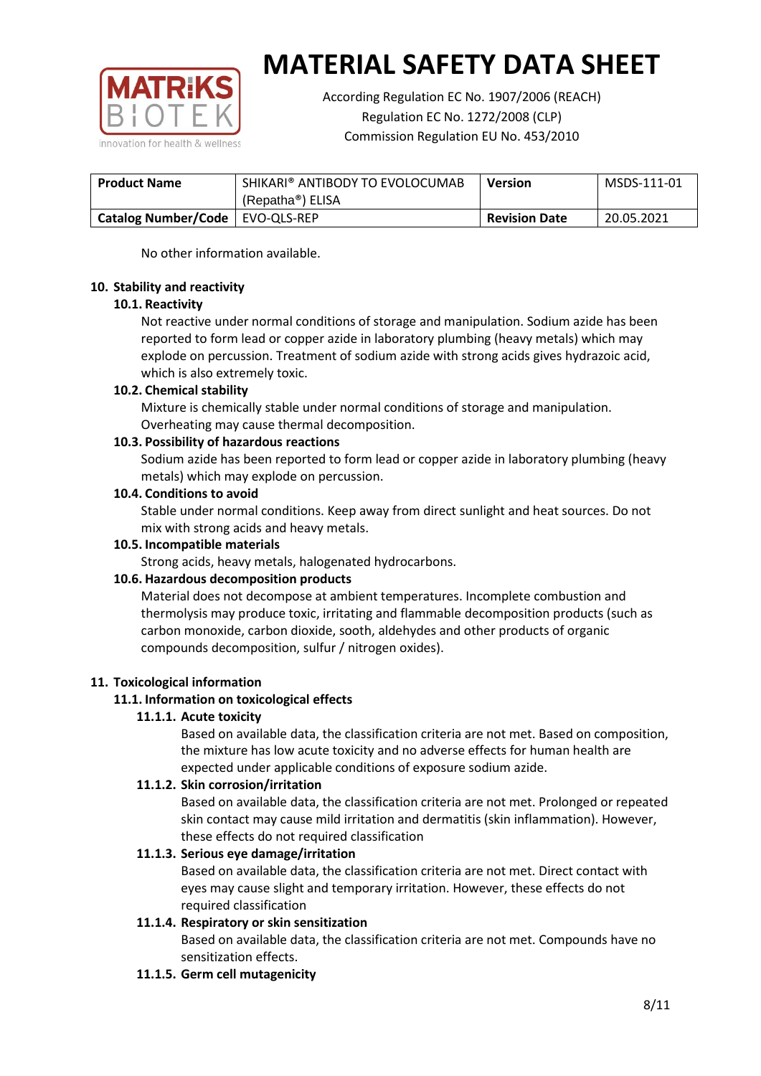

According Regulation EC No. 1907/2006 (REACH) Regulation EC No. 1272/2008 (CLP) Commission Regulation EU No. 453/2010

| SHIKARI® ANTIBODY TO EVOLOCUMAB<br><b>Product Name</b> |                               | <b>Version</b>       | MSDS-111-01 |
|--------------------------------------------------------|-------------------------------|----------------------|-------------|
|                                                        | (Repatha <sup>®</sup> ) ELISA |                      |             |
| Catalog Number/Code   EVO-QLS-REP                      |                               | <b>Revision Date</b> | 20.05.2021  |

No other information available.

## **10. Stability and reactivity**

## **10.1. Reactivity**

Not reactive under normal conditions of storage and manipulation. Sodium azide has been reported to form lead or copper azide in laboratory plumbing (heavy metals) which may explode on percussion. Treatment of sodium azide with strong acids gives hydrazoic acid, which is also extremely toxic.

## **10.2. Chemical stability**

Mixture is chemically stable under normal conditions of storage and manipulation. Overheating may cause thermal decomposition.

## **10.3. Possibility of hazardous reactions**

Sodium azide has been reported to form lead or copper azide in laboratory plumbing (heavy metals) which may explode on percussion.

## **10.4. Conditions to avoid**

Stable under normal conditions. Keep away from direct sunlight and heat sources. Do not mix with strong acids and heavy metals.

#### **10.5. Incompatible materials**

Strong acids, heavy metals, halogenated hydrocarbons.

## **10.6. Hazardous decomposition products**

Material does not decompose at ambient temperatures. Incomplete combustion and thermolysis may produce toxic, irritating and flammable decomposition products (such as carbon monoxide, carbon dioxide, sooth, aldehydes and other products of organic compounds decomposition, sulfur / nitrogen oxides).

## **11. Toxicological information**

#### **11.1. Information on toxicological effects**

#### **11.1.1. Acute toxicity**

Based on available data, the classification criteria are not met. Based on composition, the mixture has low acute toxicity and no adverse effects for human health are expected under applicable conditions of exposure sodium azide.

#### **11.1.2. Skin corrosion/irritation**

Based on available data, the classification criteria are not met. Prolonged or repeated skin contact may cause mild irritation and dermatitis (skin inflammation). However, these effects do not required classification

## **11.1.3. Serious eye damage/irritation**

Based on available data, the classification criteria are not met. Direct contact with eyes may cause slight and temporary irritation. However, these effects do not required classification

## **11.1.4. Respiratory or skin sensitization**

Based on available data, the classification criteria are not met. Compounds have no sensitization effects.

#### **11.1.5. Germ cell mutagenicity**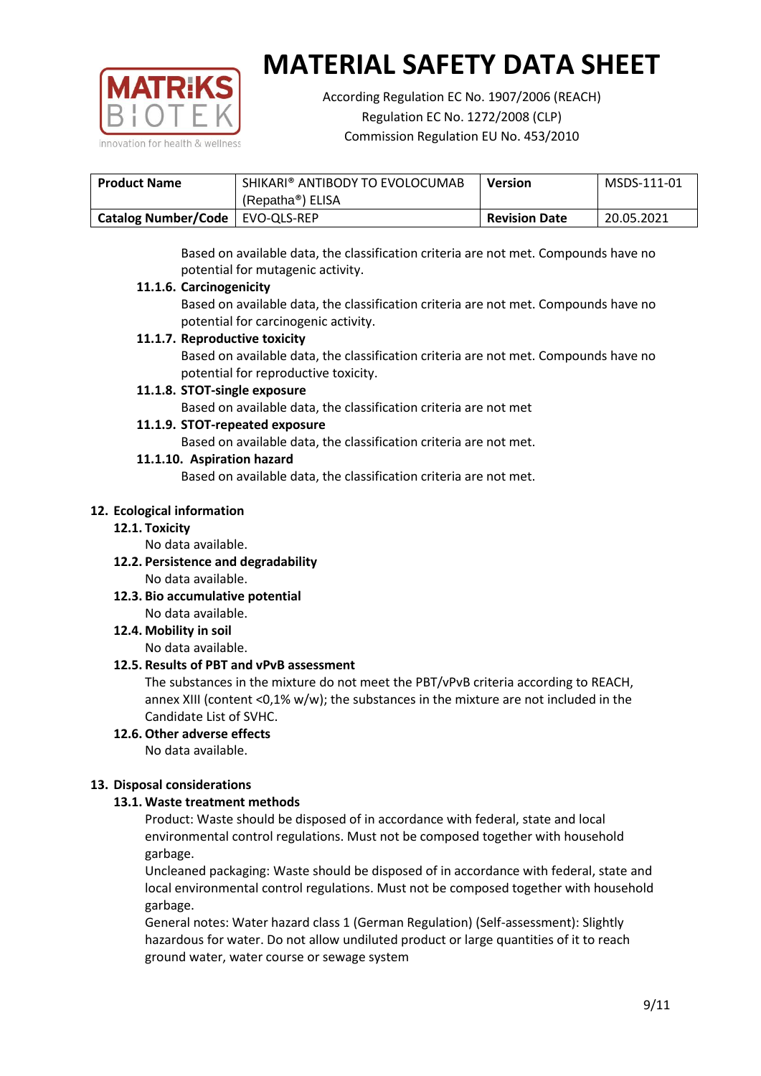

According Regulation EC No. 1907/2006 (REACH) Regulation EC No. 1272/2008 (CLP) Commission Regulation EU No. 453/2010

| SHIKARI® ANTIBODY TO EVOLOCUMAB<br><b>Product Name</b> |                               | <b>Version</b>       | MSDS-111-01 |
|--------------------------------------------------------|-------------------------------|----------------------|-------------|
|                                                        | (Repatha <sup>®</sup> ) ELISA |                      |             |
| Catalog Number/Code   EVO-QLS-REP                      |                               | <b>Revision Date</b> | 20.05.2021  |

Based on available data, the classification criteria are not met. Compounds have no potential for mutagenic activity.

## **11.1.6. Carcinogenicity**

Based on available data, the classification criteria are not met. Compounds have no potential for carcinogenic activity.

## **11.1.7. Reproductive toxicity**

Based on available data, the classification criteria are not met. Compounds have no potential for reproductive toxicity.

## **11.1.8. STOT-single exposure**

Based on available data, the classification criteria are not met

## **11.1.9. STOT-repeated exposure**

Based on available data, the classification criteria are not met.

## **11.1.10. Aspiration hazard**

Based on available data, the classification criteria are not met.

## **12. Ecological information**

#### **12.1. Toxicity**

No data available.

- **12.2. Persistence and degradability** No data available.
- **12.3. Bio accumulative potential** No data available.

**12.4. Mobility in soil**

No data available.

## **12.5. Results of PBT and vPvB assessment**

The substances in the mixture do not meet the PBT/vPvB criteria according to REACH, annex XIII (content <0,1% w/w); the substances in the mixture are not included in the Candidate List of SVHC.

#### **12.6. Other adverse effects** No data available.

## **13. Disposal considerations**

## **13.1. Waste treatment methods**

Product: Waste should be disposed of in accordance with federal, state and local environmental control regulations. Must not be composed together with household garbage.

Uncleaned packaging: Waste should be disposed of in accordance with federal, state and local environmental control regulations. Must not be composed together with household garbage.

General notes: Water hazard class 1 (German Regulation) (Self-assessment): Slightly hazardous for water. Do not allow undiluted product or large quantities of it to reach ground water, water course or sewage system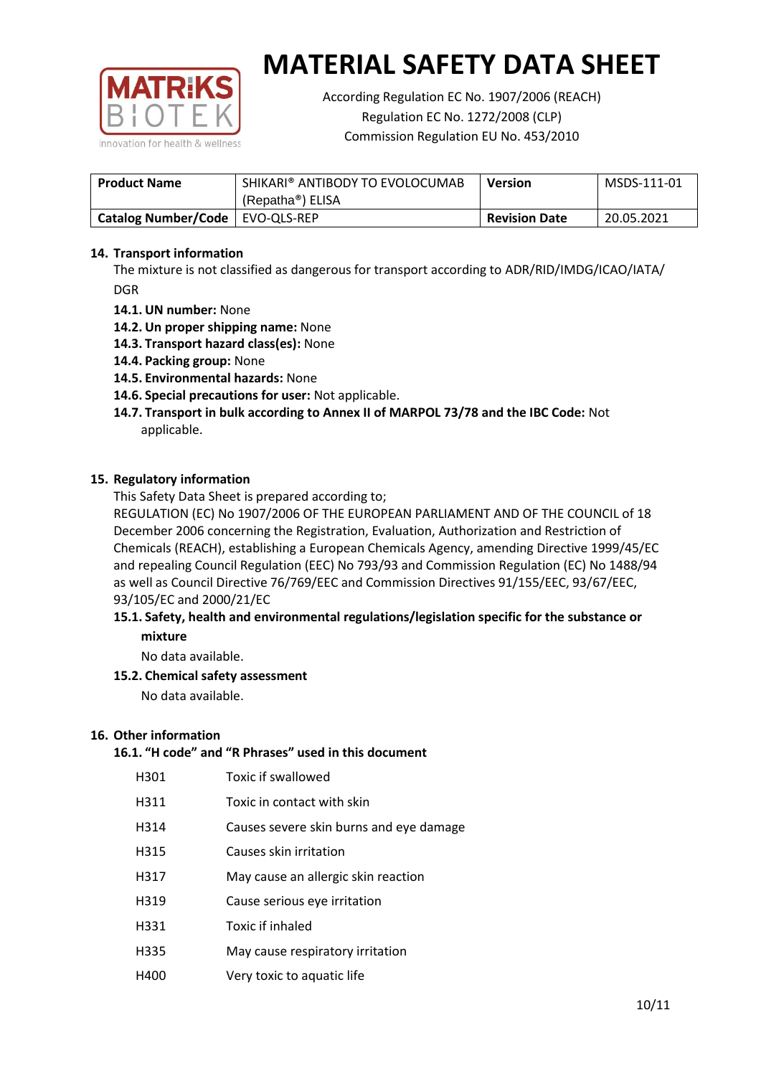

According Regulation EC No. 1907/2006 (REACH) Regulation EC No. 1272/2008 (CLP) Commission Regulation EU No. 453/2010

| <b>Product Name</b>        | SHIKARI® ANTIBODY TO EVOLOCUMAB<br>(Repatha <sup>®</sup> ) ELISA | <b>Version</b>       | MSDS-111-01 |
|----------------------------|------------------------------------------------------------------|----------------------|-------------|
| <b>Catalog Number/Code</b> | EVO-QLS-REP                                                      | <b>Revision Date</b> | 20.05.2021  |

## **14. Transport information**

The mixture is not classified as dangerous for transport according to ADR/RID/IMDG/ICAO/IATA/ DGR

- **14.1. UN number:** None
- **14.2. Un proper shipping name:** None
- **14.3. Transport hazard class(es):** None
- **14.4. Packing group:** None
- **14.5. Environmental hazards:** None
- **14.6. Special precautions for user:** Not applicable.
- **14.7. Transport in bulk according to Annex II of MARPOL 73/78 and the IBC Code:** Not applicable.

#### **15. Regulatory information**

This Safety Data Sheet is prepared according to;

REGULATION (EC) No 1907/2006 OF THE EUROPEAN PARLIAMENT AND OF THE COUNCIL of 18 December 2006 concerning the Registration, Evaluation, Authorization and Restriction of Chemicals (REACH), establishing a European Chemicals Agency, amending Directive 1999/45/EC and repealing Council Regulation (EEC) No 793/93 and Commission Regulation (EC) No 1488/94 as well as Council Directive 76/769/EEC and Commission Directives 91/155/EEC, 93/67/EEC, 93/105/EC and 2000/21/EC

## **15.1. Safety, health and environmental regulations/legislation specific for the substance or mixture**

No data available.

## **15.2. Chemical safety assessment**

No data available.

#### **16. Other information**

## **16.1. "H code" and "R Phrases" used in this document**

| H301 | Toxic if swallowed |
|------|--------------------|
|------|--------------------|

- H311 Toxic in contact with skin
- H314 Causes severe skin burns and eye damage
- H315 Causes skin irritation
- H317 May cause an allergic skin reaction
- H319 Cause serious eye irritation
- H331 Toxic if inhaled
- H335 May cause respiratory irritation
- H400 Very toxic to aquatic life